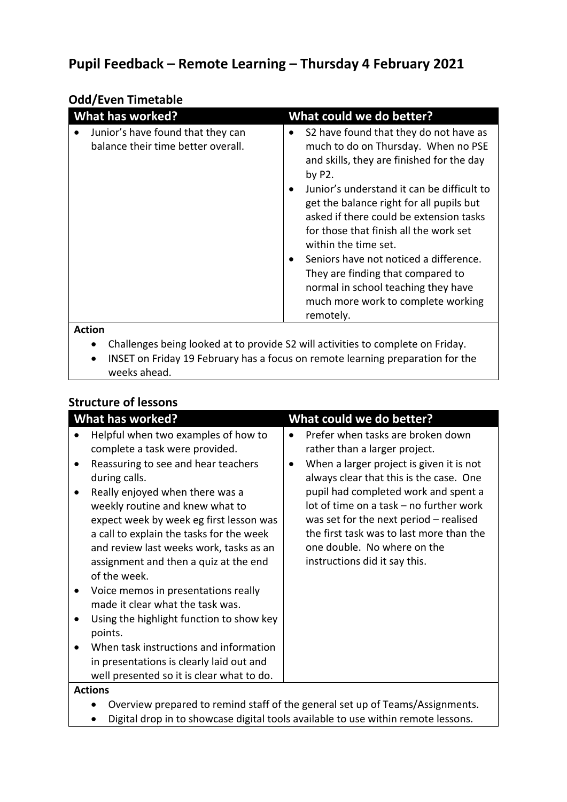## **Pupil Feedback – Remote Learning – Thursday 4 February 2021**

| <b>Odd/Even Timetable</b>                                               |                                                                                                                                                                                                                                                                                                                                                                                                                                                                                                                                      |
|-------------------------------------------------------------------------|--------------------------------------------------------------------------------------------------------------------------------------------------------------------------------------------------------------------------------------------------------------------------------------------------------------------------------------------------------------------------------------------------------------------------------------------------------------------------------------------------------------------------------------|
| <b>What has worked?</b>                                                 | What could we do better?                                                                                                                                                                                                                                                                                                                                                                                                                                                                                                             |
| Junior's have found that they can<br>balance their time better overall. | S2 have found that they do not have as<br>$\bullet$<br>much to do on Thursday. When no PSE<br>and skills, they are finished for the day<br>by $P2$ .<br>Junior's understand it can be difficult to<br>get the balance right for all pupils but<br>asked if there could be extension tasks<br>for those that finish all the work set<br>within the time set.<br>Seniors have not noticed a difference.<br>They are finding that compared to<br>normal in school teaching they have<br>much more work to complete working<br>remotely. |
| Action                                                                  |                                                                                                                                                                                                                                                                                                                                                                                                                                                                                                                                      |

## • Challenges being looked at to provide S2 will activities to complete on Friday.

• INSET on Friday 19 February has a focus on remote learning preparation for the weeks ahead.

## **Structure of lessons**

| <b>What has worked?</b>                                                                                                                                                                                                                                                                                                                                                                                                                                                                                                                                                                                                                                             | What could we do better?                                                                                                                                                                                                                                                                                                                                                                             |
|---------------------------------------------------------------------------------------------------------------------------------------------------------------------------------------------------------------------------------------------------------------------------------------------------------------------------------------------------------------------------------------------------------------------------------------------------------------------------------------------------------------------------------------------------------------------------------------------------------------------------------------------------------------------|------------------------------------------------------------------------------------------------------------------------------------------------------------------------------------------------------------------------------------------------------------------------------------------------------------------------------------------------------------------------------------------------------|
| Helpful when two examples of how to<br>complete a task were provided.<br>Reassuring to see and hear teachers<br>during calls.<br>Really enjoyed when there was a<br>weekly routine and knew what to<br>expect week by week eg first lesson was<br>a call to explain the tasks for the week<br>and review last weeks work, tasks as an<br>assignment and then a quiz at the end<br>of the week.<br>Voice memos in presentations really<br>made it clear what the task was.<br>Using the highlight function to show key<br>points.<br>When task instructions and information<br>in presentations is clearly laid out and<br>well presented so it is clear what to do. | Prefer when tasks are broken down<br>rather than a larger project.<br>When a larger project is given it is not<br>always clear that this is the case. One<br>pupil had completed work and spent a<br>lot of time on a task - no further work<br>was set for the next period $-$ realised<br>the first task was to last more than the<br>one double. No where on the<br>instructions did it say this. |
| <b>Actions</b>                                                                                                                                                                                                                                                                                                                                                                                                                                                                                                                                                                                                                                                      |                                                                                                                                                                                                                                                                                                                                                                                                      |

- Overview prepared to remind staff of the general set up of Teams/Assignments.
- Digital drop in to showcase digital tools available to use within remote lessons.